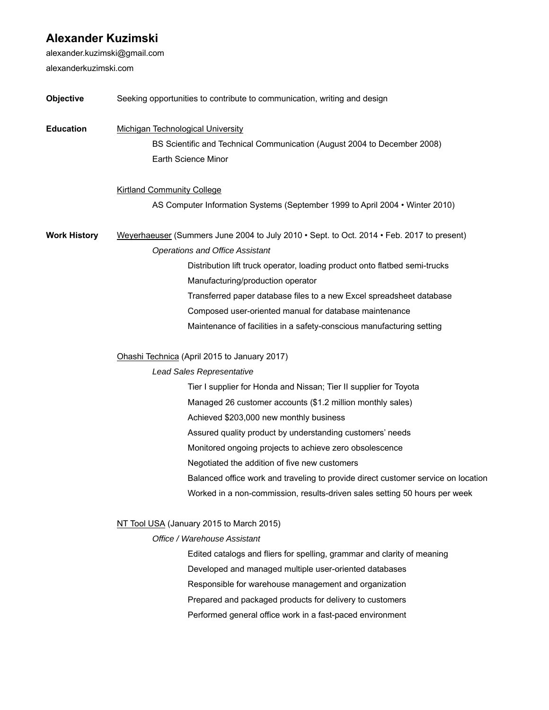## **Alexander Kuzimski**

alexander.kuzimski@gmail.com alexanderkuzimski.com

| Objective           | Seeking opportunities to contribute to communication, writing and design                  |
|---------------------|-------------------------------------------------------------------------------------------|
| <b>Education</b>    | <b>Michigan Technological University</b>                                                  |
|                     | BS Scientific and Technical Communication (August 2004 to December 2008)                  |
|                     | Earth Science Minor                                                                       |
|                     | <b>Kirtland Community College</b>                                                         |
|                     | AS Computer Information Systems (September 1999 to April 2004 • Winter 2010)              |
| <b>Work History</b> | Weyerhaeuser (Summers June 2004 to July 2010 • Sept. to Oct. 2014 • Feb. 2017 to present) |
|                     | <b>Operations and Office Assistant</b>                                                    |
|                     | Distribution lift truck operator, loading product onto flatbed semi-trucks                |
|                     | Manufacturing/production operator                                                         |
|                     | Transferred paper database files to a new Excel spreadsheet database                      |
|                     | Composed user-oriented manual for database maintenance                                    |
|                     | Maintenance of facilities in a safety-conscious manufacturing setting                     |
|                     | Ohashi Technica (April 2015 to January 2017)                                              |
|                     | <b>Lead Sales Representative</b>                                                          |
|                     | Tier I supplier for Honda and Nissan; Tier II supplier for Toyota                         |
|                     | Managed 26 customer accounts (\$1.2 million monthly sales)                                |
|                     | Achieved \$203,000 new monthly business                                                   |
|                     | Assured quality product by understanding customers' needs                                 |
|                     | Monitored ongoing projects to achieve zero obsolescence                                   |
|                     | Negotiated the addition of five new customers                                             |
|                     | Balanced office work and traveling to provide direct customer service on location         |
|                     | Worked in a non-commission, results-driven sales setting 50 hours per week                |
|                     | NT Tool USA (January 2015 to March 2015)                                                  |
|                     | Office / Warehouse Assistant                                                              |
|                     | Edited catalogs and fliers for spelling, grammar and clarity of meaning                   |
|                     | Developed and managed multiple user-oriented databases                                    |
|                     | Responsible for warehouse management and organization                                     |
|                     | Prepared and packaged products for delivery to customers                                  |
|                     |                                                                                           |

Performed general office work in a fast-paced environment